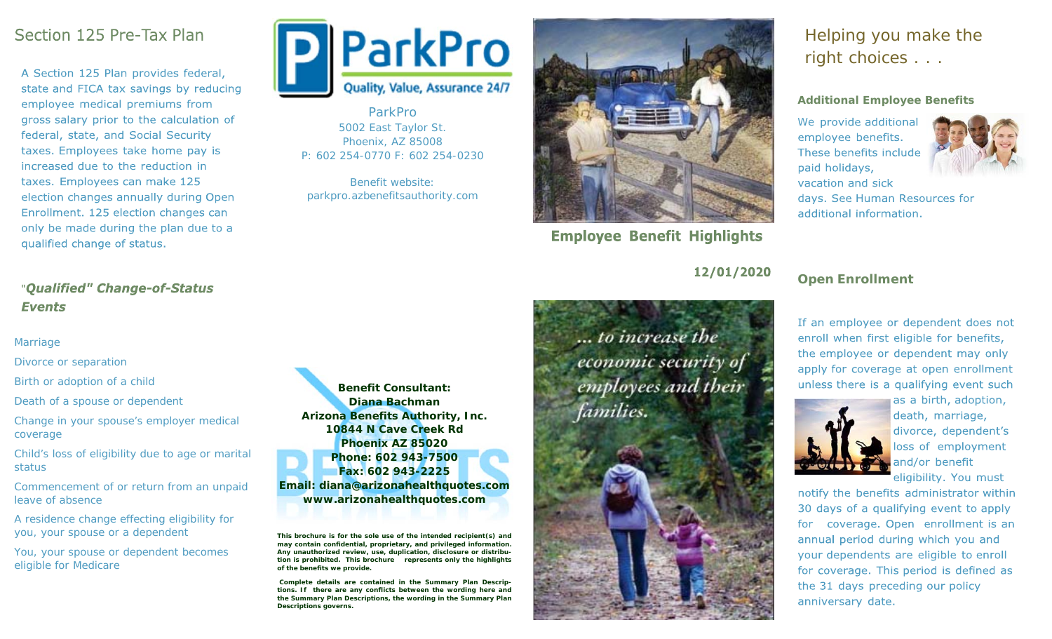## Section 125 Pre-Tax Plan

A Section 125 Plan provides federal, state and FICA tax savings by reducing employee medical premiums from gross salary prior to the calculation of federal, state, and Social Security taxes. Employees take home pay is increased due to the reduction in taxes. Employees can make 125 election changes annually during Open Enrollment. 125 election changes can only be made during the plan due to a qualified change of status.

## "Oualified" Change-of-Status **Events**

#### Marriage

Divorce or separation

Birth or adoption of a child

Death of a spouse or dependent

Change in your spouse's employer medical coverage

Child's loss of eligibility due to age or marital status

Commencement of or return from an unpaid leave of absence

A residence change effecting eligibility for you, your spouse or a dependent

You, your spouse or dependent becomes eligible for Medicare



ParkPro 5002 East Taylor St. Phoenix, AZ 85008 P: 602 254-0770 F: 602 254-0230

Benefit website: parkpro.azbenefitsauthority.com



**Employee Benefit Highlights** 

12/01/2020

... to increase the economic security of employees and their families.



# Helping you make the right choices . . .

#### **Additional Employee Benefits**

We provide additional employee benefits. These benefits include paid holidays, vacation and sick



days. See Human Resources for additional information.

## **Open Enrollment**

If an employee or dependent does not enroll when first eligible for benefits, the employee or dependent may only apply for coverage at open enrollment unless there is a qualifying event such



death, marriage, divorce, dependent's loss of employment and/or benefit eligibility. You must

as a birth, adoption,

notify the benefits administrator within 30 days of a qualifying event to apply for coverage. Open enrollment is an annual period during which you and your dependents are eligible to enroll for coverage. This period is defined as the 31 days preceding our policy anniversary date.



**This brochure is for the sole use of the intended recipient(s) and may contain confidential, proprietary, and privileged information. Any unauthorized review, use, duplication, disclosure or distribution is prohibited. This brochure represents only the highlights of the benefits we provide.** 

 **Complete details are contained in the Summary Plan Descriptions. If there are any conflicts between the wording here and the Summary Plan Descriptions, the wording in the Summary Plan Descriptions governs.**